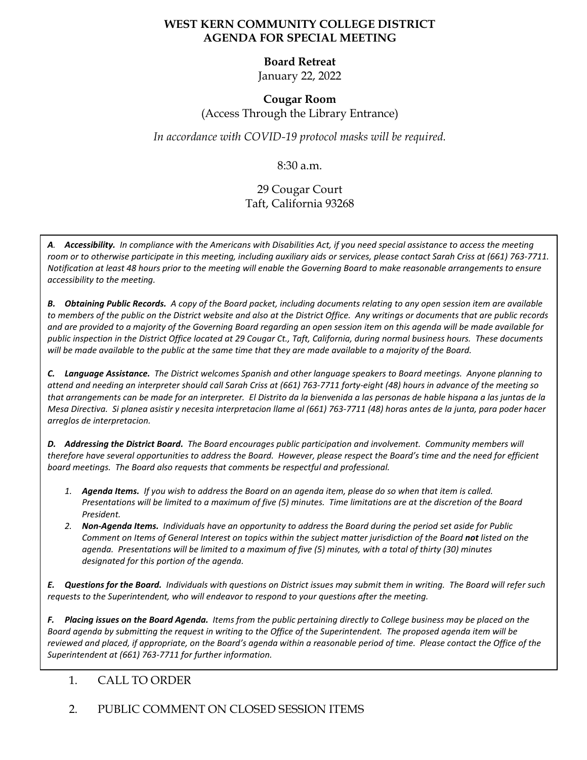#### **WEST KERN COMMUNITY COLLEGE DISTRICT AGENDA FOR SPECIAL MEETING**

#### **Board Retreat**

January 22, 2022

#### **Cougar Room**

(Access Through the Library Entrance)

*In accordance with COVID-19 protocol masks will be required.* 

8:30 a.m.

#### 29 Cougar Court Taft, California 93268

*A. Accessibility. In compliance with the Americans with Disabilities Act, if you need special assistance to access the meeting room or to otherwise participate in this meeting, including auxiliary aids or services, please contact Sarah Criss at (661) 763-7711. Notification at least 48 hours prior to the meeting will enable the Governing Board to make reasonable arrangements to ensure accessibility to the meeting.*

*B. Obtaining Public Records. A copy of the Board packet, including documents relating to any open session item are available to members of the public on the District website and also at the District Office. Any writings or documents that are public records and are provided to a majority of the Governing Board regarding an open session item on this agenda will be made available for public inspection in the District Office located at 29 Cougar Ct., Taft, California, during normal business hours. These documents will be made available to the public at the same time that they are made available to a majority of the Board.*

*C. Language Assistance. The District welcomes Spanish and other language speakers to Board meetings. Anyone planning to attend and needing an interpreter should call Sarah Criss at (661) 763-7711 forty-eight (48) hours in advance of the meeting so that arrangements can be made for an interpreter. El Distrito da la bienvenida a las personas de hable hispana a las juntas de la Mesa Directiva. Si planea asistir y necesita interpretacion llame al (661) 763-7711 (48) horas antes de la junta, para poder hacer arreglos de interpretacion.*

*D. Addressing the District Board. The Board encourages public participation and involvement. Community members will therefore have several opportunities to address the Board. However, please respect the Board's time and the need for efficient board meetings. The Board also requests that comments be respectful and professional.*

- *1. Agenda Items. If you wish to address the Board on an agenda item, please do so when that item is called. Presentations will be limited to a maximum of five (5) minutes. Time limitations are at the discretion of the Board President.*
- *2. Non-Agenda Items. Individuals have an opportunity to address the Board during the period set aside for Public Comment on Items of General Interest on topics within the subject matter jurisdiction of the Board not listed on the agenda. Presentations will be limited to a maximum of five (5) minutes, with a total of thirty (30) minutes designated for this portion of the agenda.*

*E. Questions for the Board. Individuals with questions on District issues may submit them in writing. The Board will refer such requests to the Superintendent, who will endeavor to respond to your questions after the meeting.*

*F. Placing issues on the Board Agenda. Items from the public pertaining directly to College business may be placed on the Board agenda by submitting the request in writing to the Office of the Superintendent. The proposed agenda item will be reviewed and placed, if appropriate, on the Board's agenda within a reasonable period of time. Please contact the Office of the Superintendent at (661) 763-7711 for further information.*

### 1. CALL TO ORDER

2. PUBLIC COMMENT ON CLOSED SESSION ITEMS